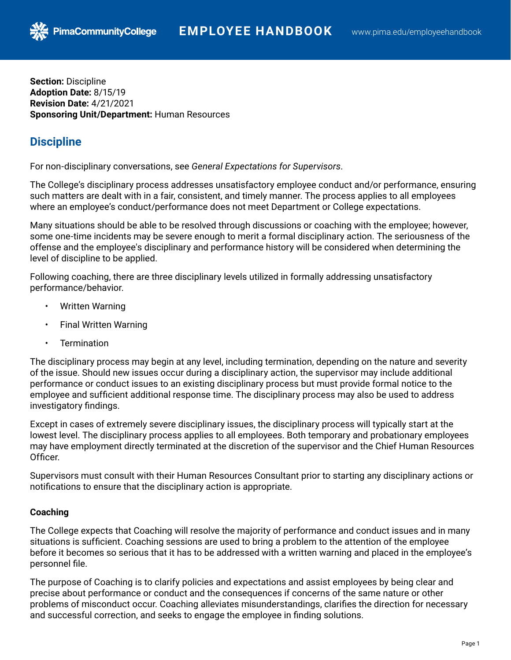**Section:** Discipline **Adoption Date:** 8/15/19 **Revision Date:** 4/21/2021 **Sponsoring Unit/Department:** Human Resources

**PimaCommunityCollege** 

# **Discipline**

For non-disciplinary conversations, see *General Expectations for Supervisors*.

The College's disciplinary process addresses unsatisfactory employee conduct and/or performance, ensuring such matters are dealt with in a fair, consistent, and timely manner. The process applies to all employees where an employee's conduct/performance does not meet Department or College expectations.

Many situations should be able to be resolved through discussions or coaching with the employee; however, some one-time incidents may be severe enough to merit a formal disciplinary action. The seriousness of the offense and the employee's disciplinary and performance history will be considered when determining the level of discipline to be applied.

Following coaching, there are three disciplinary levels utilized in formally addressing unsatisfactory performance/behavior.

- Written Warning
- Final Written Warning
- **Termination**

The disciplinary process may begin at any level, including termination, depending on the nature and severity of the issue. Should new issues occur during a disciplinary action, the supervisor may include additional performance or conduct issues to an existing disciplinary process but must provide formal notice to the employee and sufficient additional response time. The disciplinary process may also be used to address investigatory findings.

Except in cases of extremely severe disciplinary issues, the disciplinary process will typically start at the lowest level. The disciplinary process applies to all employees. Both temporary and probationary employees may have employment directly terminated at the discretion of the supervisor and the Chief Human Resources Officer.

Supervisors must consult with their Human Resources Consultant prior to starting any disciplinary actions or notifications to ensure that the disciplinary action is appropriate.

# **Coaching**

The College expects that Coaching will resolve the majority of performance and conduct issues and in many situations is sufficient. Coaching sessions are used to bring a problem to the attention of the employee before it becomes so serious that it has to be addressed with a written warning and placed in the employee's personnel file.

The purpose of Coaching is to clarify policies and expectations and assist employees by being clear and precise about performance or conduct and the consequences if concerns of the same nature or other problems of misconduct occur. Coaching alleviates misunderstandings, clarifies the direction for necessary and successful correction, and seeks to engage the employee in finding solutions.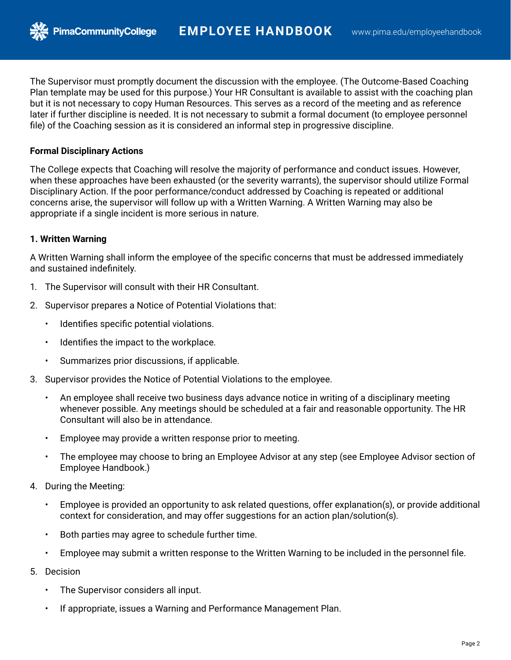The Supervisor must promptly document the discussion with the employee. (The Outcome-Based Coaching Plan template may be used for this purpose.) Your HR Consultant is available to assist with the coaching plan but it is not necessary to copy Human Resources. This serves as a record of the meeting and as reference later if further discipline is needed. It is not necessary to submit a formal document (to employee personnel file) of the Coaching session as it is considered an informal step in progressive discipline.

## **Formal Disciplinary Actions**

The College expects that Coaching will resolve the majority of performance and conduct issues. However, when these approaches have been exhausted (or the severity warrants), the supervisor should utilize Formal Disciplinary Action. If the poor performance/conduct addressed by Coaching is repeated or additional concerns arise, the supervisor will follow up with a Written Warning. A Written Warning may also be appropriate if a single incident is more serious in nature.

## **1. Written Warning**

A Written Warning shall inform the employee of the specific concerns that must be addressed immediately and sustained indefinitely.

- 1. The Supervisor will consult with their HR Consultant.
- 2. Supervisor prepares a Notice of Potential Violations that:
	- Identifies specific potential violations.
	- Identifies the impact to the workplace.
	- Summarizes prior discussions, if applicable.
- 3. Supervisor provides the Notice of Potential Violations to the employee.
	- An employee shall receive two business days advance notice in writing of a disciplinary meeting whenever possible. Any meetings should be scheduled at a fair and reasonable opportunity. The HR Consultant will also be in attendance.
	- Employee may provide a written response prior to meeting.
	- The employee may choose to bring an Employee Advisor at any step (see Employee Advisor section of Employee Handbook.)
- 4. During the Meeting:
	- Employee is provided an opportunity to ask related questions, offer explanation(s), or provide additional context for consideration, and may offer suggestions for an action plan/solution(s).
	- Both parties may agree to schedule further time.
	- Employee may submit a written response to the Written Warning to be included in the personnel file.
- 5. Decision
	- The Supervisor considers all input.
	- If appropriate, issues a Warning and Performance Management Plan.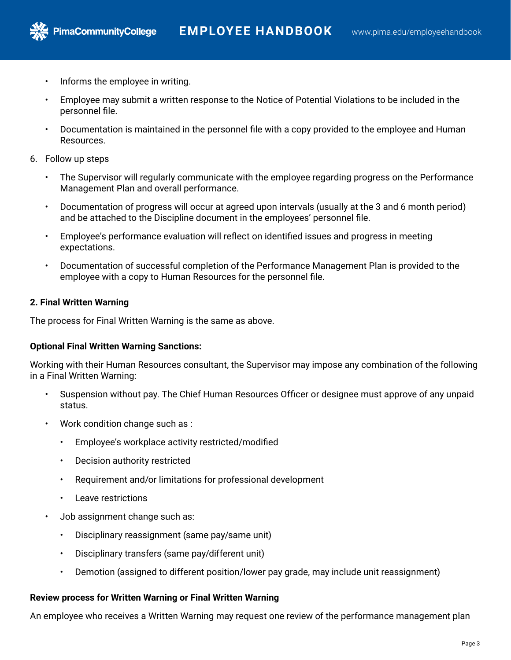• Informs the employee in writing.

**PimaCommunityCollege** 

- Employee may submit a written response to the Notice of Potential Violations to be included in the personnel file.
- Documentation is maintained in the personnel file with a copy provided to the employee and Human Resources.
- 6. Follow up steps
	- The Supervisor will regularly communicate with the employee regarding progress on the Performance Management Plan and overall performance.
	- Documentation of progress will occur at agreed upon intervals (usually at the 3 and 6 month period) and be attached to the Discipline document in the employees' personnel file.
	- Employee's performance evaluation will reflect on identified issues and progress in meeting expectations.
	- Documentation of successful completion of the Performance Management Plan is provided to the employee with a copy to Human Resources for the personnel file.

## **2. Final Written Warning**

The process for Final Written Warning is the same as above.

### **Optional Final Written Warning Sanctions:**

Working with their Human Resources consultant, the Supervisor may impose any combination of the following in a Final Written Warning:

- Suspension without pay. The Chief Human Resources Officer or designee must approve of any unpaid status.
- Work condition change such as :
	- Employee's workplace activity restricted/modified
	- Decision authority restricted
	- Requirement and/or limitations for professional development
	- Leave restrictions
- Job assignment change such as:
	- Disciplinary reassignment (same pay/same unit)
	- Disciplinary transfers (same pay/different unit)
	- Demotion (assigned to different position/lower pay grade, may include unit reassignment)

### **Review process for Written Warning or Final Written Warning**

An employee who receives a Written Warning may request one review of the performance management plan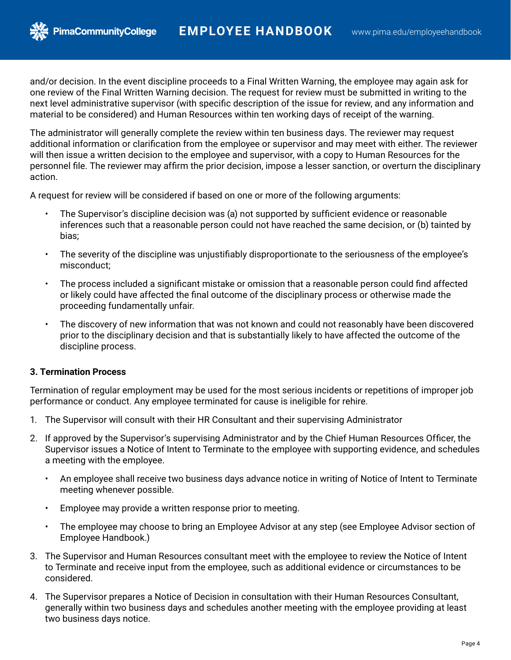and/or decision. In the event discipline proceeds to a Final Written Warning, the employee may again ask for one review of the Final Written Warning decision. The request for review must be submitted in writing to the next level administrative supervisor (with specific description of the issue for review, and any information and material to be considered) and Human Resources within ten working days of receipt of the warning.

The administrator will generally complete the review within ten business days. The reviewer may request additional information or clarification from the employee or supervisor and may meet with either. The reviewer will then issue a written decision to the employee and supervisor, with a copy to Human Resources for the personnel file. The reviewer may affirm the prior decision, impose a lesser sanction, or overturn the disciplinary action.

A request for review will be considered if based on one or more of the following arguments:

- The Supervisor's discipline decision was (a) not supported by sufficient evidence or reasonable inferences such that a reasonable person could not have reached the same decision, or (b) tainted by bias;
- The severity of the discipline was unjustifiably disproportionate to the seriousness of the employee's misconduct;
- The process included a significant mistake or omission that a reasonable person could find affected or likely could have affected the final outcome of the disciplinary process or otherwise made the proceeding fundamentally unfair.
- The discovery of new information that was not known and could not reasonably have been discovered prior to the disciplinary decision and that is substantially likely to have affected the outcome of the discipline process.

# **3. Termination Process**

**PimaCommunityCollege** 

Termination of regular employment may be used for the most serious incidents or repetitions of improper job performance or conduct. Any employee terminated for cause is ineligible for rehire.

- 1. The Supervisor will consult with their HR Consultant and their supervising Administrator
- 2. If approved by the Supervisor's supervising Administrator and by the Chief Human Resources Officer, the Supervisor issues a Notice of Intent to Terminate to the employee with supporting evidence, and schedules a meeting with the employee.
	- An employee shall receive two business days advance notice in writing of Notice of Intent to Terminate meeting whenever possible.
	- Employee may provide a written response prior to meeting.
	- The employee may choose to bring an Employee Advisor at any step (see Employee Advisor section of Employee Handbook.)
- 3. The Supervisor and Human Resources consultant meet with the employee to review the Notice of Intent to Terminate and receive input from the employee, such as additional evidence or circumstances to be considered.
- 4. The Supervisor prepares a Notice of Decision in consultation with their Human Resources Consultant, generally within two business days and schedules another meeting with the employee providing at least two business days notice.